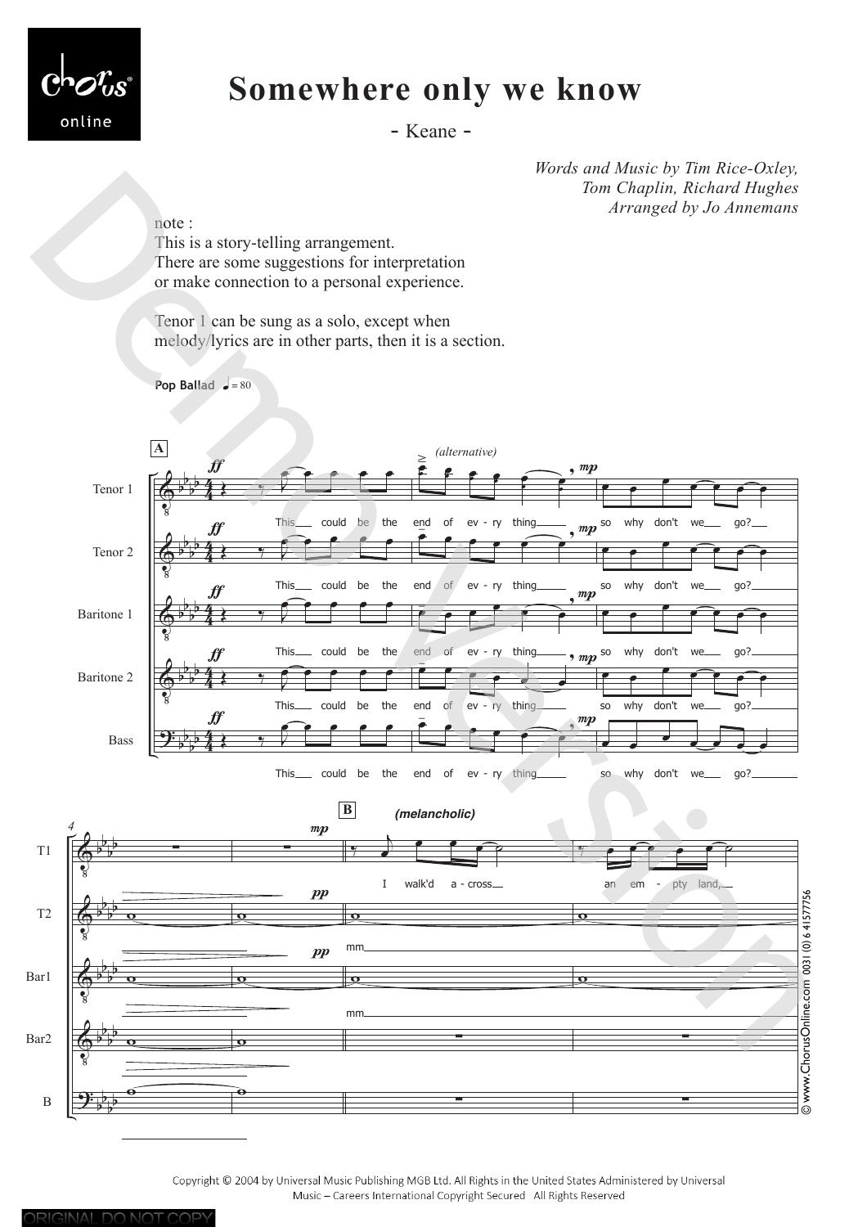

## **Somewhere only we know**

- Keane -

*Words and Music by Tim Rice-Oxley, Tom Chaplin, Richard Hughes Arranged by Jo Annemans*

note :

This is a story-telling arrangement. There are some suggestions for interpretation or make connection to a personal experience.

Tenor 1 can be sung as a solo, except when melody/lyrics are in other parts, then it is a section.

**Pop Ballad**  $\bullet = 80$ 



Copyright @ 2004 by Universal Music Publishing MGB Ltd. All Rights in the United States Administered by Universal Music - Careers International Copyright Secured All Rights Reserved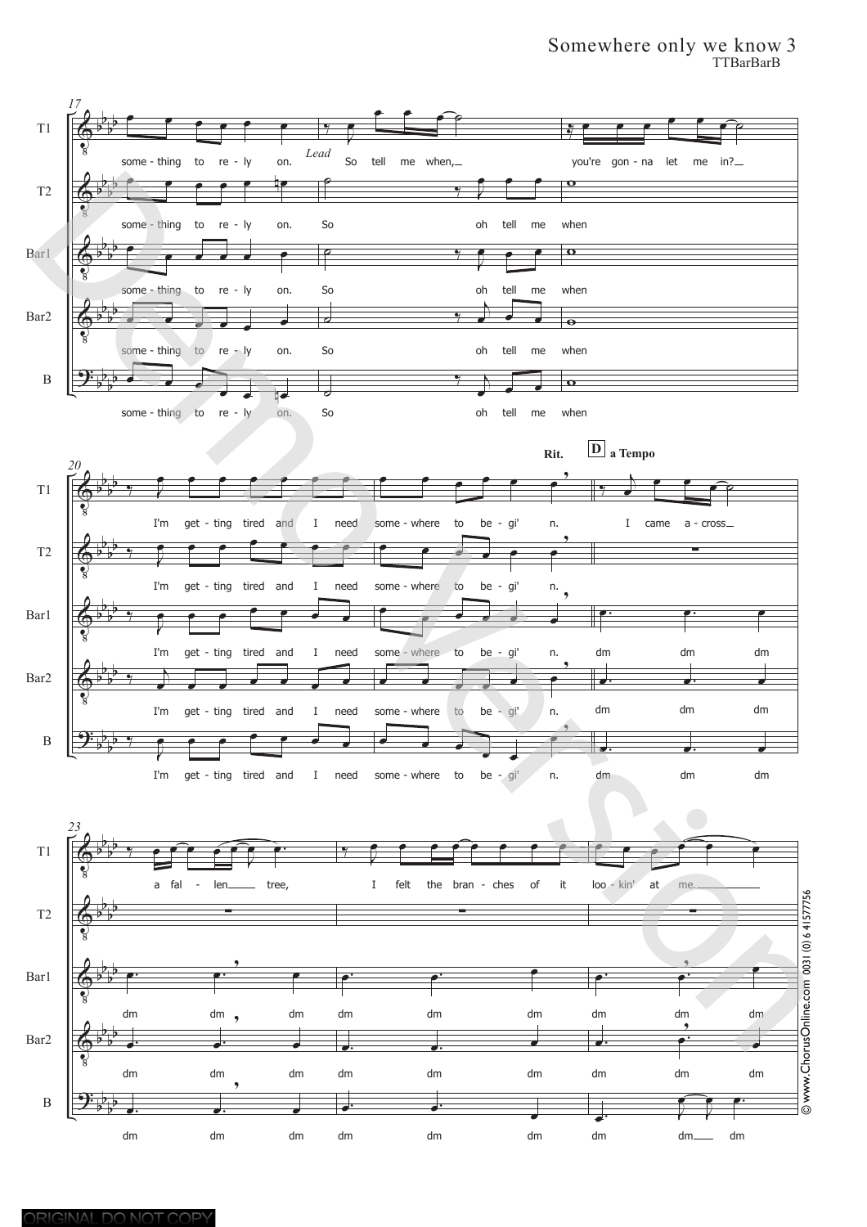## Somewhere only we know 3 TTBarBarB

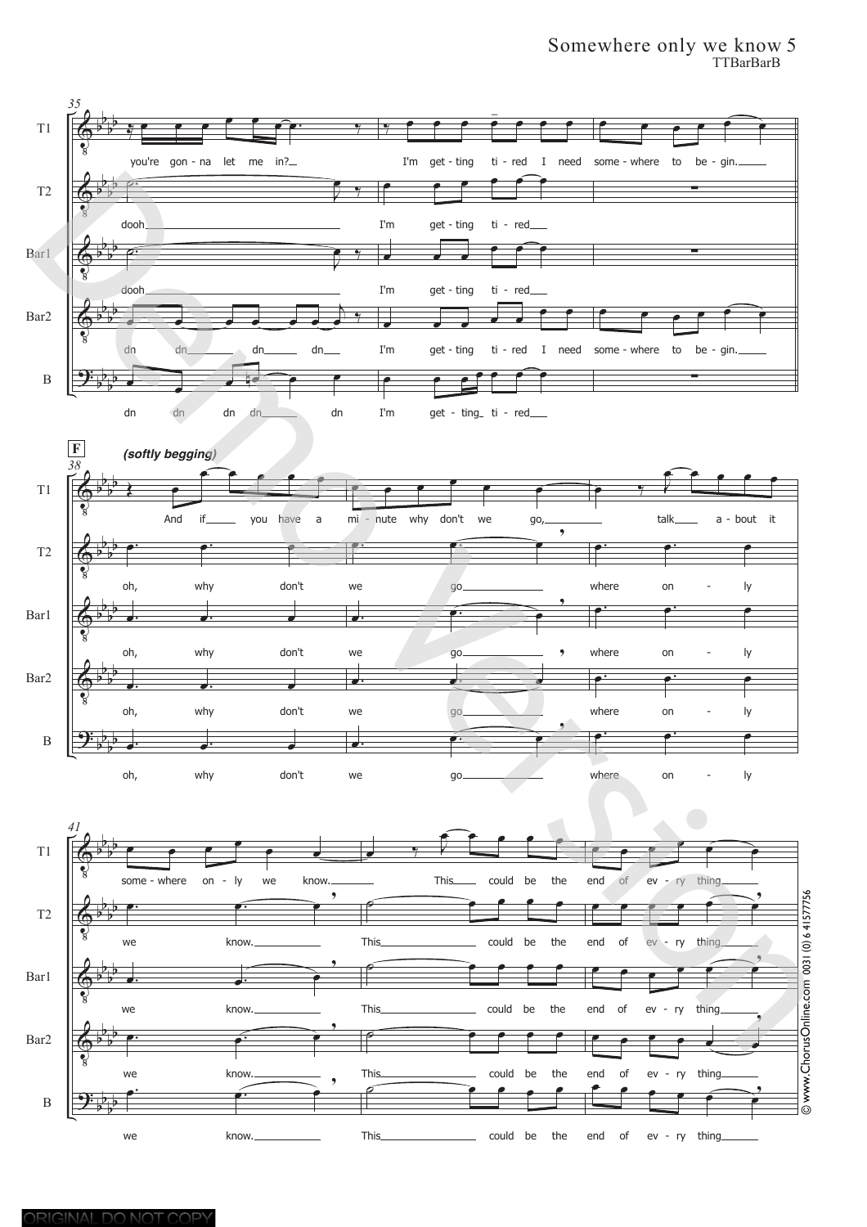## Somewhere only we know 5 TTBarBarB

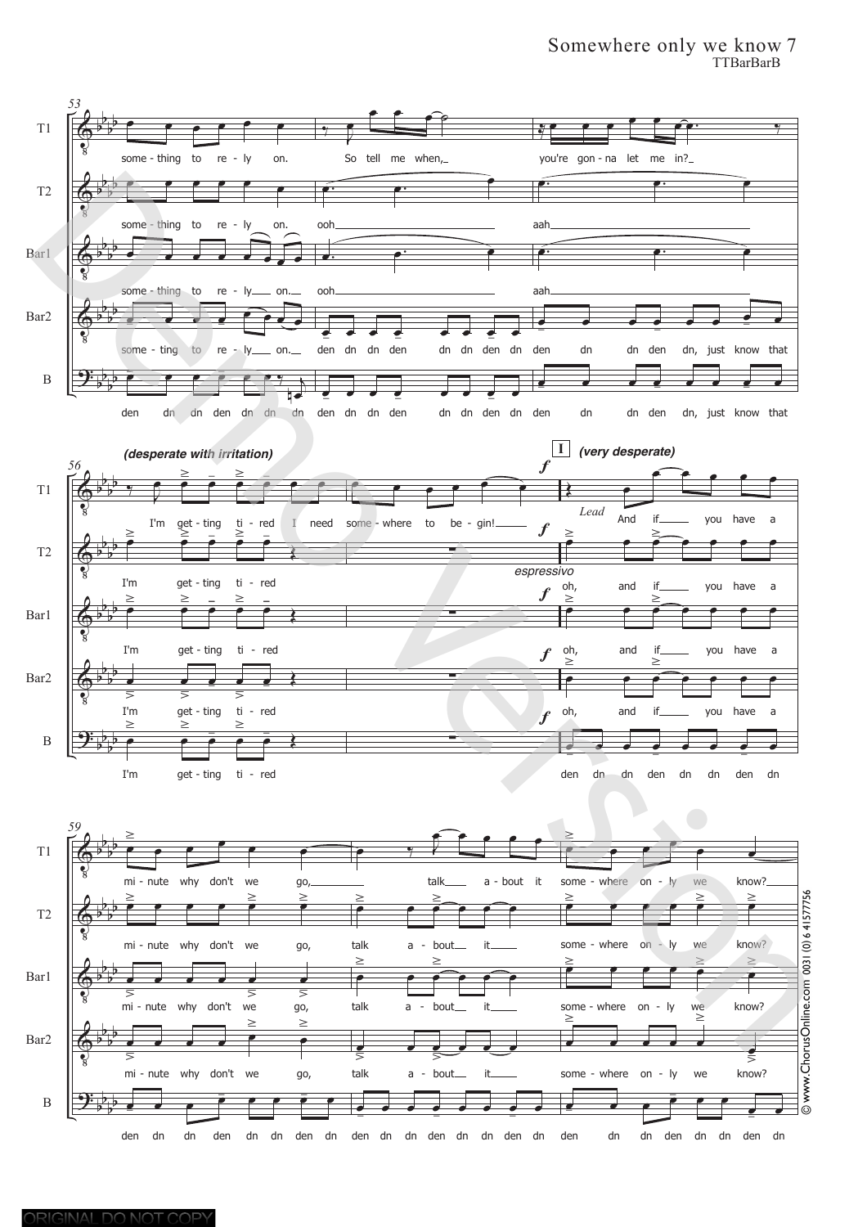## Somewhere only we know 7 TTBarBarB